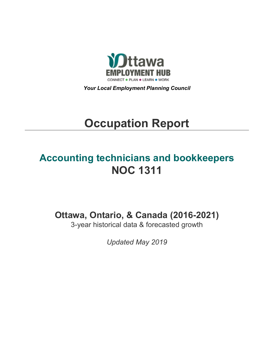

*Your Local Employment Planning Council*

# **Occupation Report**

# **Accounting technicians and bookkeepers NOC 1311**

**Ottawa, Ontario, & Canada (2016-2021)**

3-year historical data & forecasted growth

*Updated May 2019*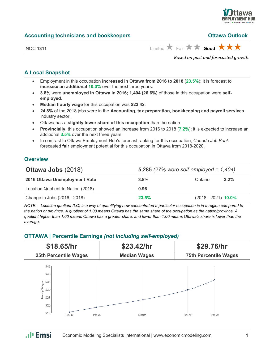

#### **Accounting technicians and bookkeepers Ottawa Outlook**

NOC 1311 **Limited Eair <b>A** Fair **A** Good

*Based on past and forecasted growth.*

#### **A Local Snapshot**

- Employment in this occupation **increased in Ottawa from 2016 to 2018** (**23.5%**); it is forecast to **increase an additional 10.0%** over the next three years.
- **3.8%** were **unemployed in Ottawa in 2016; 1,404 (26.6%)** of those in this occupation were **selfemployed**.
- **Median hourly wage** for this occupation was **\$23.42**.
- **24.8%** of the 2018 jobs were in the **Accounting, tax preparation, bookkeeping and payroll services** industry sector.
- Ottawa has a **slightly lower share of this occupation** than the nation.
- **Provincially**, this occupation showed an increase from 2016 to 2018 (**7.2%**); it is expected to increase an additional **3.5%** over the next three years.
- In contrast to Ottawa Employment Hub's forecast ranking for this occupation, *Canada Job Bank*  forecasted **fair** employment potential for this occupation in Ottawa from 2018-2020.

#### **Overview**

| <b>Ottawa Jobs (2018)</b>          | 5,285 (27% were self-employed = $1,404$ ) |                       |         |
|------------------------------------|-------------------------------------------|-----------------------|---------|
| 2016 Ottawa Unemployment Rate      | 3.8%                                      | Ontario               | $3.2\%$ |
| Location Quotient to Nation (2018) | 0.96                                      |                       |         |
| Change in Jobs (2016 - 2018)       | 23.5%                                     | $(2018 - 2021)$ 10.0% |         |

*NOTE: Location quotient (LQ) is a way of quantifying how concentrated a particular occupation is in a region compared to the nation or province. A quotient of 1.00 means Ottawa has the same share of the occupation as the nation/province. A quotient higher than 1.00 means Ottawa has a greater share, and lower than 1.00 means Ottawa's share is lower than the average.*

## **OTTAWA | Percentile Earnings** *(not including self-employed)*

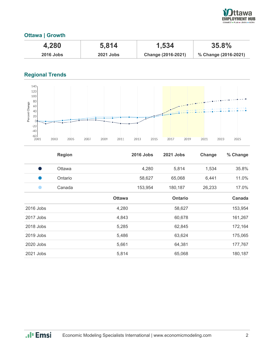

### **Ottawa | Growth**

| 4,280       | 5,814            | 1,534              | $35.8\%$             |
|-------------|------------------|--------------------|----------------------|
| $2016$ Jobs | <b>2021 Jobs</b> | Change (2016-2021) | % Change (2016-2021) |

# **Regional Trends**



|           | <b>Region</b> |               | <b>2016 Jobs</b> | <b>2021 Jobs</b> | Change | % Change |
|-----------|---------------|---------------|------------------|------------------|--------|----------|
| Ð         | Ottawa        |               | 4,280            | 5,814            | 1,534  | 35.8%    |
|           | Ontario       |               | 58,627           | 65,068           | 6,441  | 11.0%    |
|           | Canada        |               | 153,954          | 180,187          | 26,233 | 17.0%    |
|           |               | <b>Ottawa</b> |                  | <b>Ontario</b>   |        | Canada   |
| 2016 Jobs |               | 4,280         |                  | 58,627           |        | 153,954  |
| 2017 Jobs |               | 4,843         |                  | 60,678           |        | 161,267  |
| 2018 Jobs |               | 5,285         |                  | 62,845           |        | 172,164  |
| 2019 Jobs |               | 5,486         |                  | 63,624           |        | 175,065  |
| 2020 Jobs |               | 5,661         |                  | 64,381           |        | 177,767  |
| 2021 Jobs |               | 5,814         |                  | 65,068           |        | 180,187  |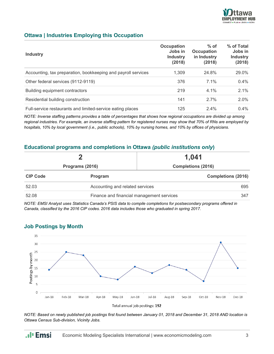

#### **Ottawa | Industries Employing this Occupation**

| <b>Industry</b>                                               | Occupation<br>Jobs in<br><b>Industry</b><br>(2018) | $%$ of<br><b>Occupation</b><br>in Industry<br>(2018) | % of Total<br>Jobs in<br><b>Industry</b><br>(2018) |
|---------------------------------------------------------------|----------------------------------------------------|------------------------------------------------------|----------------------------------------------------|
| Accounting, tax preparation, bookkeeping and payroll services | 1.309                                              | 24.8%                                                | 29.0%                                              |
| Other federal services (9112-9119)                            | 376                                                | $7.1\%$                                              | 0.4%                                               |
| Building equipment contractors                                | 219                                                | $4.1\%$                                              | 2.1%                                               |
| Residential building construction                             | 141                                                | 2.7%                                                 | 2.0%                                               |
| Full-service restaurants and limited-service eating places    | 125                                                | 2.4%                                                 | $0.4\%$                                            |

*NOTE: Inverse staffing patterns provides a table of percentages that shows how regional occupations are divided up among regional industries. For example, an inverse staffing pattern for registered nurses may show that 70% of RNs are employed by hospitals, 10% by local government (i.e., public schools), 10% by nursing homes, and 10% by offices of physicians.*

#### **Educational programs and completions in Ottawa** *(public institutions only***)**

|                 |                                           | 1,041                     |  |
|-----------------|-------------------------------------------|---------------------------|--|
| Programs (2016) |                                           | <b>Completions (2016)</b> |  |
| <b>CIP Code</b> | Program                                   | <b>Completions (2016)</b> |  |
| 52.03           | Accounting and related services           | 695                       |  |
| 52.08           | Finance and financial management services | 347                       |  |

*NOTE: EMSI Analyst uses Statistics Canada's PSIS data to compile completions for postsecondary programs offered in Canada, classified by the 2016 CIP codes. 2016 data includes those who graduated in spring 2017.*

#### **Job Postings by Month**

.**.**I<sub>I</sub> Emsi



*NOTE: Based on newly published job postings first found between January 01, 2018 and December 31, 2018 AND location is Ottawa Census Sub-division, Vicinity Jobs.*